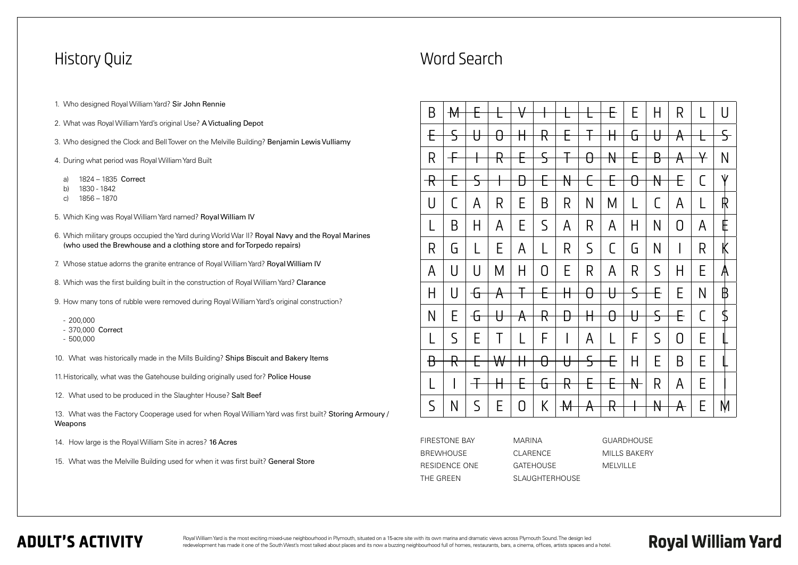## **ADULT'S ACTIVITY**

- 1. Who designed Royal William Yard? Sir John Rennie
- 2. What was Royal William Yard's original Use? A Victualing Depot
- 3. Who designed the Clock and Bell Tower on the Melville Building? Benjamin Lewis Vulliamy
- 4. During what period was Royal William Yard Built
	- a) 1824 1835 Correct
	- b) 1830 1842
	- c) 1856 1870
- 5. Which King was Royal William Yard named? Royal William IV
- 6. Which military groups occupied the Yard during World War II? Royal Navy and the Royal Marines (who used the Brewhouse and a clothing store and for Torpedo repairs)
- 7. Whose statue adorns the granite entrance of Royal William Yard? Royal William IV
- 8. Which was the first building built in the construction of Royal William Yard? Clarance
- 9. How many tons of rubble were removed during Royal William Yard's original construction?
	- 200,000
	- 370,000 Correct
	- 500,000
- 10. What was historically made in the Mills Building? Ships Biscuit and Bakery Items
- 11. Historically, what was the Gatehouse building originally used for? Police House
- 12. What used to be produced in the Slaughter House? Salt Beef

### History Quiz

13. What was the Factory Cooperage used for when Royal William Yard was first built? Storing Armoury / Weapons

- 14. How large is the Royal William Site in acres? 16 Acres
- 15. What was the Melville Building used for when it was first built? General Store

Royal William Yard is the most exciting mixed-use neighbourhood in Plymouth, situated on a 15-acre site with its own marina and dramatic views across Plymouth Sound. The design led redevelopment has made it one of the South West's most talked about places and its now a buzzing neighbourhood full of homes, restaurants, bars, a cinema, offices, artists spaces and a hotel.

| B                        | $\mathcal{M}$ |              |                       | $\forall$         |                          | 匸             | ╊                 | E            | E                        | H                       | R                 |               | U                    |
|--------------------------|---------------|--------------|-----------------------|-------------------|--------------------------|---------------|-------------------|--------------|--------------------------|-------------------------|-------------------|---------------|----------------------|
| €                        | $\mathsf S$   | ₩            | $\theta$              | ╫                 | $\mathsf R$              | €             | 干                 | ╫            | क्ति                     | ₩                       | $\bm{\mathsf{A}}$ | ⊢             | $\mathsf{S}\text{-}$ |
| R                        | $+$           |              | <del>₽</del>          | ╒                 | $\overline{\mathcal{S}}$ | ∓             | $\theta$          | $\mathbb H$  | €                        | В                       | $\bm{\mathsf{A}}$ | $\bm{\nabla}$ | N                    |
| $\overline{\mathcal{R}}$ | ╒             | $\c \subset$ |                       | Ð                 | E                        | $\mathbb {N}$ | $\in$             | E            | $\theta$                 | $\mathbb {N}$           | E                 | C             | Ψ                    |
| U                        | $\lceil$      | A            | R                     | Е                 | B                        | R             | $\mathsf{N}$      | M            | L                        | C                       | $\mathsf{A}$      | L             | ℝ                    |
| L                        | B             | H            | A                     | E                 | $\mathsf S$              | A             | R                 | A            | H                        | N                       | 0                 | A             | E                    |
| R                        | G             | L            | E                     | A                 | L                        | R             | $\mathsf S$       | $\mathsf{C}$ | G                        | $\mathsf{N}$            |                   | R             | K                    |
| A                        | U             | U            | M                     | H                 | 0                        | E             | R                 | A            | R                        | $\mathsf S$             | Η                 | Е             | A                    |
| H                        | $\cup$        | ᠊᠋᠊ᡦ         | $\bm{\mathsf{A}}$     | 干                 | E                        | ╫             | ᠍᠐᠊               | $\theta$     | $\overline{\mathcal{S}}$ | E                       | E                 | N             | ₿                    |
| N                        | E             | ᠊᠋᠊ᡦ         | ₩                     | $\bm{\mathsf{A}}$ | $\mathsf R$              | Ð             | $\mathsf{H}$      | $\theta$     | $\theta$                 | $\overline{\mathsf{S}}$ | E                 | C             | Տ                    |
| L                        | $\mathsf S$   | Е            | Τ                     |                   | F                        | I             | A                 | L            | F                        | $\mathsf S$             | $\Omega$          | Е             |                      |
| $\overline{B}$           | R             | ╒            | $\mathsf{\mathsf{W}}$ | Н                 | $\theta$                 | ₩             | $\mathsf S$       | Ð            | H                        | E                       | B                 | Е             |                      |
| $\mathsf{I}$             |               |              | Н                     | ╄                 | क्ति                     | $\mathsf R$   | E                 | E            | $\mathbb {H}$            | R                       | A                 | Е             |                      |
| $\mathsf S$              | N             | $\mathsf S$  | E.                    | 0                 | K                        | $\mathcal{H}$ | $\bm{\mathsf{A}}$ | $\mathsf R$  |                          | $\mathsf{H}$            | $\bm{\mathsf{A}}$ | Е             | M                    |

## Word Search

| FIRESTONE BAY    | MARINA           |
|------------------|------------------|
| <b>BREWHOUSE</b> | CLARENCE         |
| RESIDENCE ONE    | <b>GATFHOUSE</b> |
| THF GRFFN        | SLAUGHTFRHOUSE   |

GUARDHOUSE MILLS BAKERY MELVILLE

# **Royal William Yard**